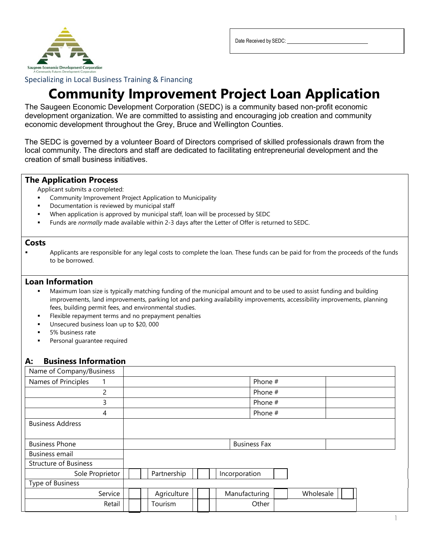

Date Received by SEDC:

Specializing in Local Business Training & Financing

# **Community Improvement Project Loan Application**

The Saugeen Economic Development Corporation (SEDC) is a community based non-profit economic development organization. We are committed to assisting and encouraging job creation and community economic development throughout the Grey, Bruce and Wellington Counties.

The SEDC is governed by a volunteer Board of Directors comprised of skilled professionals drawn from the local community. The directors and staff are dedicated to facilitating entrepreneurial development and the creation of small business initiatives.

## **The Application Process**

Applicant submits a completed:

- Community Improvement Project Application to Municipality
- Documentation is reviewed by municipal staff
- When application is approved by municipal staff, loan will be processed by SEDC
- Funds are *normally* made available within 2-3 days after the Letter of Offer is returned to SEDC.

### **Costs**

**•** Applicants are responsible for any legal costs to complete the loan. These funds can be paid for from the proceeds of the funds to be borrowed.

## **Loan Information**

- Maximum loan size is typically matching funding of the municipal amount and to be used to assist funding and building improvements, land improvements, parking lot and parking availability improvements, accessibility improvements, planning fees, building permit fees, and environmental studies.
- Flexible repayment terms and no prepayment penalties
- Unsecured business loan up to \$20, 000
- 5% business rate
- Personal guarantee required

## **A: Business Information**

| Name of Company/Business     |  |             |  |                     |               |           |
|------------------------------|--|-------------|--|---------------------|---------------|-----------|
| Names of Principles          |  |             |  |                     | Phone #       |           |
| 2                            |  |             |  |                     | Phone #       |           |
| 3                            |  |             |  |                     | Phone #       |           |
| 4                            |  |             |  |                     | Phone #       |           |
| <b>Business Address</b>      |  |             |  |                     |               |           |
|                              |  |             |  |                     |               |           |
| <b>Business Phone</b>        |  |             |  | <b>Business Fax</b> |               |           |
| Business email               |  |             |  |                     |               |           |
| <b>Structure of Business</b> |  |             |  |                     |               |           |
| Sole Proprietor              |  | Partnership |  |                     | Incorporation |           |
| Type of Business             |  |             |  |                     |               |           |
| Service                      |  | Agriculture |  |                     | Manufacturing | Wholesale |
| Retail                       |  | Tourism     |  |                     | Other         |           |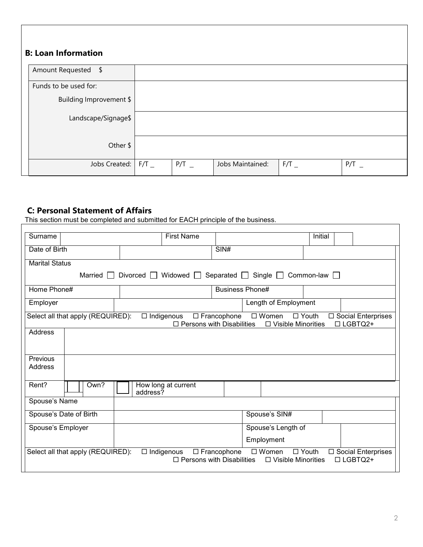| <b>B: Loan Information</b>      |         |                  |         |         |
|---------------------------------|---------|------------------|---------|---------|
| Amount Requested \$             |         |                  |         |         |
| Funds to be used for:           |         |                  |         |         |
| Building Improvement \$         |         |                  |         |         |
| Landscape/Signage\$             |         |                  |         |         |
| Other \$                        |         |                  |         |         |
| Jobs Created: $\mid$ F/T $\mid$ | $P/T$ _ | Jobs Maintained: | $F/T$ _ | $P/T$ _ |

# **C: Personal Statement of Affairs**

This section must be completed and submitted for EACH principle of the business.

| Surname                                                                                                                                                                                                       | <b>First Name</b>                                   |                                                                                           | Initial                                      |  |  |
|---------------------------------------------------------------------------------------------------------------------------------------------------------------------------------------------------------------|-----------------------------------------------------|-------------------------------------------------------------------------------------------|----------------------------------------------|--|--|
| Date of Birth                                                                                                                                                                                                 |                                                     | SIN#                                                                                      |                                              |  |  |
| <b>Marital Status</b>                                                                                                                                                                                         |                                                     |                                                                                           |                                              |  |  |
| Married                                                                                                                                                                                                       | Divorced Widowed Separated Single Common-law $\Box$ |                                                                                           |                                              |  |  |
| Home Phone#                                                                                                                                                                                                   |                                                     | <b>Business Phone#</b>                                                                    |                                              |  |  |
| Employer                                                                                                                                                                                                      |                                                     | Length of Employment                                                                      |                                              |  |  |
| Select all that apply (REQUIRED):                                                                                                                                                                             | $\Box$ Indigenous                                   | □ Francophone<br>□ Women<br>$\Box$ Persons with Disabilities<br>$\Box$ Visible Minorities | □ Youth<br>□ Social Enterprises<br>□ LGBTQ2+ |  |  |
| <b>Address</b>                                                                                                                                                                                                |                                                     |                                                                                           |                                              |  |  |
|                                                                                                                                                                                                               |                                                     |                                                                                           |                                              |  |  |
| Previous                                                                                                                                                                                                      |                                                     |                                                                                           |                                              |  |  |
| Address                                                                                                                                                                                                       |                                                     |                                                                                           |                                              |  |  |
| Rent?<br>Own?                                                                                                                                                                                                 | How long at current<br>address?                     |                                                                                           |                                              |  |  |
| Spouse's Name                                                                                                                                                                                                 |                                                     |                                                                                           |                                              |  |  |
| Spouse's Date of Birth                                                                                                                                                                                        |                                                     | Spouse's SIN#                                                                             |                                              |  |  |
| Spouse's Employer                                                                                                                                                                                             |                                                     | Spouse's Length of                                                                        |                                              |  |  |
|                                                                                                                                                                                                               |                                                     | Employment                                                                                |                                              |  |  |
| Select all that apply (REQUIRED):<br>$\Box$ Indigenous<br>$\Box$ Francophone<br>□ Women<br>$\Box$ Youth<br>□ Social Enterprises<br>$\Box$ Persons with Disabilities<br>□ LGBTQ2+<br>$\Box$ Visible Minorities |                                                     |                                                                                           |                                              |  |  |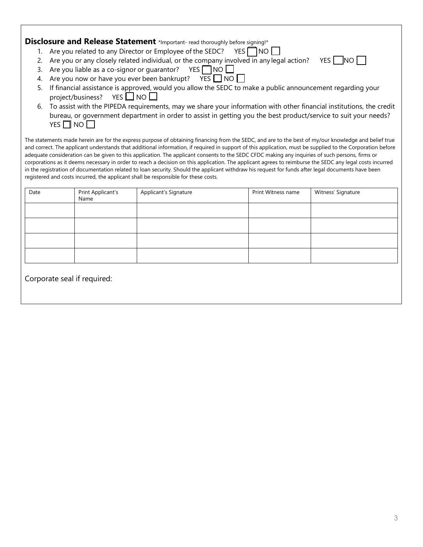| Disclosure and Release Statement *Important- read thoroughly before signing!* |  |  |  |
|-------------------------------------------------------------------------------|--|--|--|
|-------------------------------------------------------------------------------|--|--|--|

- 1. Are you related to any Director or Employee of the SEDC? YES  $\Box$  NO  $\Box$
- 2. Are you or any closely related individual, or the company involved in any legal action? YES  $\Box$  NO  $\Box$
- 3. Are you liable as a co-signor or guarantor? YES  $\Box$  NO  $\Box$
- 4. Are you now or have you ever been bankrupt? YES  $\Box$  NO  $\Box$
- 5. If financial assistance is approved, would you allow the SEDC to make a public announcement regarding your project/business? YES  $\Box$  NO  $\Box$
- 6. To assist with the PIPEDA requirements, may we share your information with other financial institutions, the credit bureau, or government department in order to assist in getting you the best product/service to suit your needs? YES  $\Box$  NO  $\Box$

The statements made herein are for the express purpose of obtaining financing from the SEDC, and are to the best of my/our knowledge and belief true and correct. The applicant understands that additional information, if required in support of this application, must be supplied to the Corporation before adequate consideration can be given to this application. The applicant consents to the SEDC CFDC making any inquiries of such persons, firms or corporations as it deems necessary in order to reach a decision on this application. The applicant agrees to reimburse the SEDC any legal costs incurred in the registration of documentation related to loan security. Should the applicant withdraw his request for funds after legal documents have been registered and costs incurred, the applicant shall be responsible for these costs.

| Date                        | Print Applicant's<br>Name | Applicant's Signature | Print Witness name | Witness' Signature |
|-----------------------------|---------------------------|-----------------------|--------------------|--------------------|
|                             |                           |                       |                    |                    |
|                             |                           |                       |                    |                    |
|                             |                           |                       |                    |                    |
|                             |                           |                       |                    |                    |
| Corporate seal if required: |                           |                       |                    |                    |